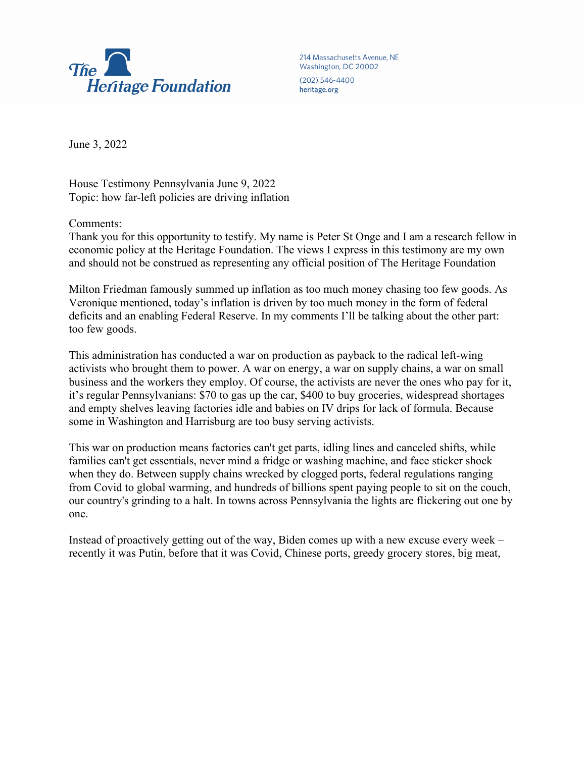

214 Massachusetts Avenue, NE Washington, DC 20002 (202) 546-4400 heritage.org

June 3, 2022

House Testimony Pennsylvania June 9, 2022 Topic: how far-left policies are driving inflation

Comments:

Thank you for this opportunity to testify. My name is Peter St Onge and I am a research fellow in economic policy at the Heritage Foundation. The views I express in this testimony are my own and should not be construed as representing any official position of The Heritage Foundation

Milton Friedman famously summed up inflation as too much money chasing too few goods. As Veronique mentioned, today's inflation is driven by too much money in the form of federal deficits and an enabling Federal Reserve. In my comments I'll be talking about the other part: too few goods.

This administration has conducted a war on production as payback to the radical left-wing activists who brought them to power. A war on energy, a war on supply chains, a war on small business and the workers they employ. Of course, the activists are never the ones who pay for it, it's regular Pennsylvanians: \$70 to gas up the car, \$400 to buy groceries, widespread shortages and empty shelves leaving factories idle and babies on IV drips for lack of formula. Because some in Washington and Harrisburg are too busy serving activists.

This war on production means factories can't get parts, idling lines and canceled shifts, while families can't get essentials, never mind a fridge or washing machine, and face sticker shock when they do. Between supply chains wrecked by clogged ports, federal regulations ranging from Covid to global warming, and hundreds of billions spent paying people to sit on the couch, our country's grinding to a halt. In towns across Pennsylvania the lights are flickering out one by one.

Instead of proactively getting out of the way, Biden comes up with a new excuse every week – recently it was Putin, before that it was Covid, Chinese ports, greedy grocery stores, big meat,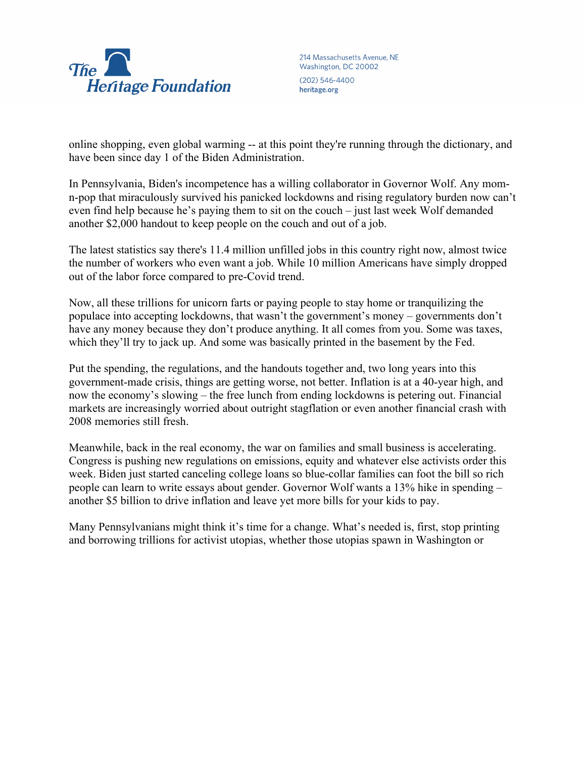

214 Massachusetts Avenue, NE Washington, DC 20002 (202) 546-4400 heritage.org

online shopping, even global warming -- at this point they're running through the dictionary, and have been since day 1 of the Biden Administration.

In Pennsylvania, Biden's incompetence has a willing collaborator in Governor Wolf. Any momn-pop that miraculously survived his panicked lockdowns and rising regulatory burden now can't even find help because he's paying them to sit on the couch – just last week Wolf demanded another \$2,000 handout to keep people on the couch and out of a job.

The latest statistics say there's 11.4 million unfilled jobs in this country right now, almost twice the number of workers who even want a job. While 10 million Americans have simply dropped out of the labor force compared to pre-Covid trend.

Now, all these trillions for unicorn farts or paying people to stay home or tranquilizing the populace into accepting lockdowns, that wasn't the government's money – governments don't have any money because they don't produce anything. It all comes from you. Some was taxes, which they'll try to jack up. And some was basically printed in the basement by the Fed.

Put the spending, the regulations, and the handouts together and, two long years into this government-made crisis, things are getting worse, not better. Inflation is at a 40-year high, and now the economy's slowing – the free lunch from ending lockdowns is petering out. Financial markets are increasingly worried about outright stagflation or even another financial crash with 2008 memories still fresh.

Meanwhile, back in the real economy, the war on families and small business is accelerating. Congress is pushing new regulations on emissions, equity and whatever else activists order this week. Biden just started canceling college loans so blue-collar families can foot the bill so rich people can learn to write essays about gender. Governor Wolf wants a 13% hike in spending – another \$5 billion to drive inflation and leave yet more bills for your kids to pay.

Many Pennsylvanians might think it's time for a change. What's needed is, first, stop printing and borrowing trillions for activist utopias, whether those utopias spawn in Washington or